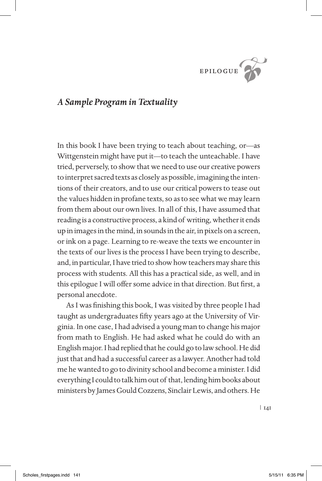

# *A Sample Program in Textuality*

In this book I have been trying to teach about teaching, or—as Wittgenstein might have put it—to teach the unteachable. I have tried, perversely, to show that we need to use our creative powers to interpret sacred texts as closely as possible, imagining the intentions of their creators, and to use our critical powers to tease out the values hidden in profane texts, so as to see what we may learn from them about our own lives. In all of this, I have assumed that reading is a constructive process, a kind of writing, whether it ends up in images in the mind, in sounds in the air, in pixels on a screen, or ink on a page. Learning to re-weave the texts we encounter in the texts of our lives is the process I have been trying to describe, and, in particular, I have tried to show how teachers may share this process with students. All this has a practical side, as well, and in this epilogue I will offer some advice in that direction. But first, a personal anecdote.

As I was finishing this book, I was visited by three people I had taught as undergraduates fifty years ago at the University of Virginia. In one case, I had advised a young man to change his major from math to English. He had asked what he could do with an English major. I had replied that he could go to law school. He did just that and had a successful career as a lawyer. Another had told me he wanted to go to divinity school and become a minister. I did everything I could to talk him out of that, lending him books about ministers by James Gould Cozzens, Sinclair Lewis, and others. He

**<sup>|</sup>**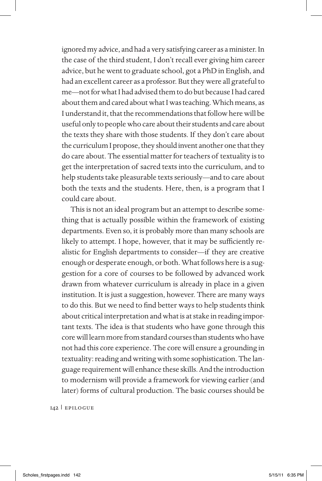ignored my advice, and had a very satisfying career as a minister. In the case of the third student, I don't recall ever giving him career advice, but he went to graduate school, got a PhD in English, and had an excellent career as a professor. But they were all grateful to me—not for what I had advised them to do but because I had cared about them and cared about what I was teaching. Which means, as I understand it, that the recommendations that follow here will be useful only to people who care about their students and care about the texts they share with those students. If they don't care about the curriculum I propose, they should invent another one that they do care about. The essential matter for teachers of textuality is to get the interpretation of sacred texts into the curriculum, and to help students take pleasurable texts seriously—and to care about both the texts and the students. Here, then, is a program that I could care about.

This is not an ideal program but an attempt to describe something that is actually possible within the framework of existing departments. Even so, it is probably more than many schools are likely to attempt. I hope, however, that it may be sufficiently realistic for English departments to consider—if they are creative enough or desperate enough, or both. What follows here is a suggestion for a core of courses to be followed by advanced work drawn from whatever curriculum is already in place in a given institution. It is just a suggestion, however. There are many ways to do this. But we need to find better ways to help students think about critical interpretation and what is at stake in reading important texts. The idea is that students who have gone through this core will learn more from standard courses than students who have not had this core experience. The core will ensure a grounding in textuality: reading and writing with some sophistication. The language requirement will enhance these skills. And the introduction to modernism will provide a framework for viewing earlier (and later) forms of cultural production. The basic courses should be

**<sup>|</sup>** epilogue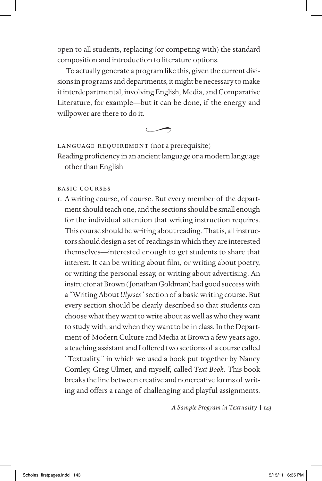open to all students, replacing (or competing with) the standard composition and introduction to literature options.

To actually generate a program like this, given the current divisions in programs and departments, it might be necessary to make it interdepartmental, involving English, Media, and Comparative Literature, for example—but it can be done, if the energy and willpower are there to do it.

 $\rightarrow$ 

LANGUAGE REQUIREMENT (not a prerequisite)

Reading proficiency in an ancient language or a modern language other than English

## basic courses

. A writing course, of course. But every member of the department should teach one, and the sections should be small enough for the individual attention that writing instruction requires. This course should be writing about reading. That is, all instructors should design a set of readings in which they are interested themselves—interested enough to get students to share that interest. It can be writing about film, or writing about poetry, or writing the personal essay, or writing about advertising. An instructor at Brown (Jonathan Goldman) had good success with a "Writing About *Ulysses*" section of a basic writing course. But every section should be clearly described so that students can choose what they want to write about as well as who they want to study with, and when they want to be in class. In the Department of Modern Culture and Media at Brown a few years ago, a teaching assistant and I offered two sections of a course called "Textuality," in which we used a book put together by Nancy Comley, Greg Ulmer, and myself, called *Text Book*. This book breaks the line between creative and noncreative forms of writing and offers a range of challenging and playful assignments.

*A Sample Program in Textuality* **<sup>|</sup>**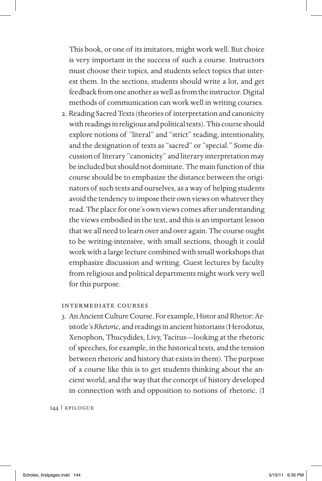This book, or one of its imitators, might work well. But choice is very important in the success of such a course. Instructors must choose their topics, and students select topics that interest them. In the sections, students should write a lot, and get feedback from one another as well as from the instructor. Digital methods of communication can work well in writing courses.

. Reading Sacred Texts (theories of interpretation and canonicity with readings in religious and political texts). This course should explore notions of "literal" and "strict" reading, intentionality, and the designation of texts as "sacred" or "special." Some discussion of literary "canonicity" and literary interpretation may be included but should not dominate. The main function of this course should be to emphasize the distance between the originators of such texts and ourselves, as a way of helping students avoid the tendency to impose their own views on whatever they read. The place for one's own views comes after understanding the views embodied in the text, and this is an important lesson that we all need to learn over and over again. The course ought to be writing-intensive, with small sections, though it could work with a large lecture combined with small workshops that emphasize discussion and writing. Guest lectures by faculty from religious and political departments might work very well for this purpose.

### intermediate courses

. An Ancient Culture Course. For example, Histor and Rhetor: Aristotle's *Rhetoric*, and readings in ancient historians (Herodotus, Xenophon, Thucydides, Livy, Tacitus—looking at the rhetoric of speeches, for example, in the historical texts, and the tension between rhetoric and history that exists in them). The purpose of a course like this is to get students thinking about the ancient world, and the way that the concept of history developed in connection with and opposition to notions of rhetoric. (I

#### **<sup>|</sup>** epilogue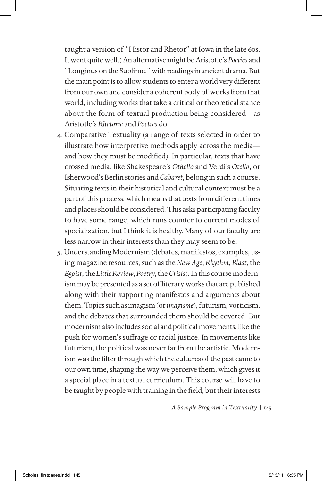taught a version of "Histor and Rhetor" at Iowa in the late 60s. It went quite well.) An alternative might be Aristotle's *Poetics* and "Longinus on the Sublime," with readings in ancient drama. But the main point is to allow students to enter a world very different from our own and consider a coherent body of works from that world, including works that take a critical or theoretical stance about the form of textual production being considered—as Aristotle's *Rhetoric* and *Poetics* do.

- . Comparative Textuality (a range of texts selected in order to illustrate how interpretive methods apply across the media and how they must be modified). In particular, texts that have crossed media, like Shakespeare's *Othello* and Verdi's *Otello*, or Isherwood's Berlin stories and *Cabaret*, belong in such a course. Situating texts in their historical and cultural context must be a part of this process, which means that texts from different times and places should be considered. This asks participating faculty to have some range, which runs counter to current modes of specialization, but I think it is healthy. Many of our faculty are less narrow in their interests than they may seem to be.
- . Understanding Modernism (debates, manifestos, examples, using magazine resources, such as the *New Age*, *Rhythm*, *Blast*, the *Egoist*, the *Little Review*, *Poetry*, the *Crisis*). In this course modernism may be presented as a set of literary works that are published along with their supporting manifestos and arguments about them. Topics such as imagism (or *imagisme*), futurism, vorticism, and the debates that surrounded them should be covered. But modernism also includes social and political movements, like the push for women's suffrage or racial justice. In movements like futurism, the political was never far from the artistic. Modernism was the filter through which the cultures of the past came to our own time, shaping the way we perceive them, which gives it a special place in a textual curriculum. This course will have to be taught by people with training in the field, but their interests

*A Sample Program in Textuality* **<sup>|</sup>**